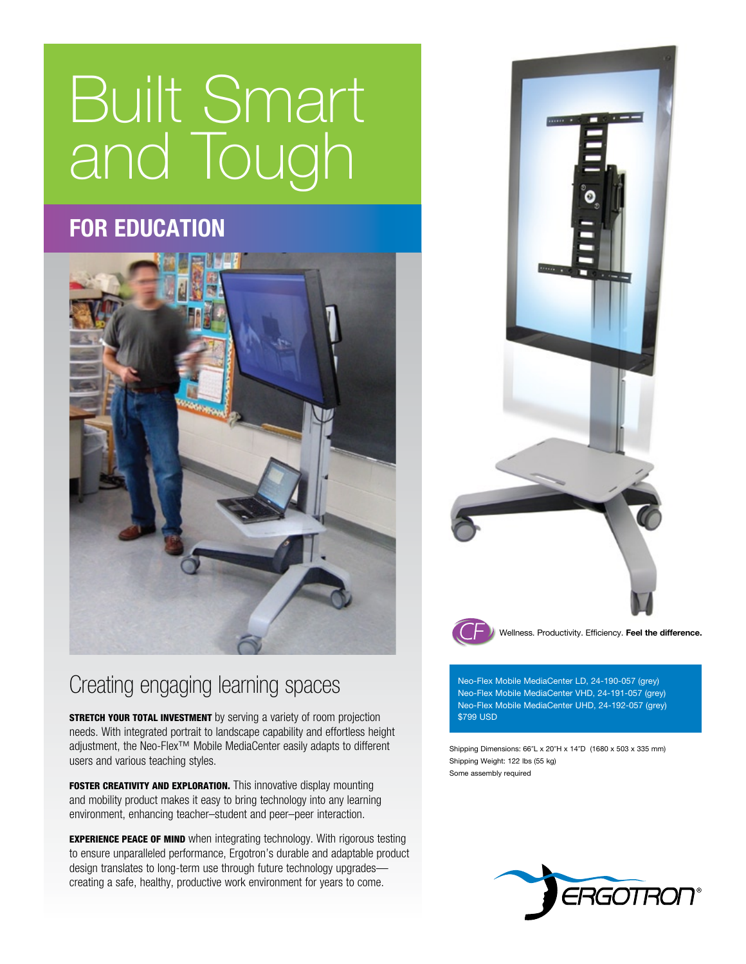## Built Smart and Tough

## **for education**



## Creating engaging learning spaces Neo-Flex Mobile MediaCenter LD, 24-190-057 (grey)

**STRETCH YOUR TOTAL INVESTMENT** by serving a variety of room projection needs. With integrated portrait to landscape capability and effortless height adjustment, the Neo-Flex™ Mobile MediaCenter easily adapts to different users and various teaching styles.

FOSTER CREATIVITY AND EXPLORATION. This innovative display mounting and mobility product makes it easy to bring technology into any learning environment, enhancing teacher–student and peer–peer interaction.

**EXPERIENCE PEACE OF MIND** when integrating technology. With rigorous testing to ensure unparalleled performance, Ergotron's durable and adaptable product design translates to long-term use through future technology upgrades creating a safe, healthy, productive work environment for years to come.



Neo-Flex Mobile MediaCenter VHD, 24-191-057 (grey) Neo-Flex Mobile MediaCenter UHD, 24-192-057 (grey) \$799 USD

Shipping Dimensions: 66"L x 20"H x 14"D (1680 x 503 x 335 mm) Shipping Weight: 122 lbs (55 kg) Some assembly required